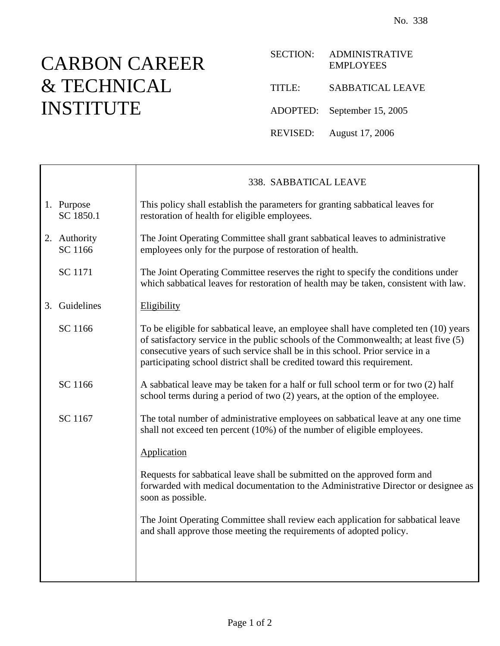## CARBON CAREER & TECHNICAL INSTITUTE

| <b>SECTION:</b> | <b>ADMINISTRATIVE</b><br><b>EMPLOYEES</b> |
|-----------------|-------------------------------------------|
| TITLE:          | <b>SABBATICAL LEAVE</b>                   |
|                 | ADOPTED: September 15, 2005               |
| REVISED:        | August 17, 2006                           |

|                         | 338. SABBATICAL LEAVE                                                                                                                                                                                                                                                                                                                     |
|-------------------------|-------------------------------------------------------------------------------------------------------------------------------------------------------------------------------------------------------------------------------------------------------------------------------------------------------------------------------------------|
| 1. Purpose<br>SC 1850.1 | This policy shall establish the parameters for granting sabbatical leaves for<br>restoration of health for eligible employees.                                                                                                                                                                                                            |
| 2. Authority<br>SC 1166 | The Joint Operating Committee shall grant sabbatical leaves to administrative<br>employees only for the purpose of restoration of health.                                                                                                                                                                                                 |
| SC 1171                 | The Joint Operating Committee reserves the right to specify the conditions under<br>which sabbatical leaves for restoration of health may be taken, consistent with law.                                                                                                                                                                  |
| 3. Guidelines           | Eligibility                                                                                                                                                                                                                                                                                                                               |
| SC 1166                 | To be eligible for sabbatical leave, an employee shall have completed ten (10) years<br>of satisfactory service in the public schools of the Commonwealth; at least five (5)<br>consecutive years of such service shall be in this school. Prior service in a<br>participating school district shall be credited toward this requirement. |
| SC 1166                 | A sabbatical leave may be taken for a half or full school term or for two (2) half<br>school terms during a period of two (2) years, at the option of the employee.                                                                                                                                                                       |
| SC 1167                 | The total number of administrative employees on sabbatical leave at any one time<br>shall not exceed ten percent (10%) of the number of eligible employees.                                                                                                                                                                               |
|                         | Application                                                                                                                                                                                                                                                                                                                               |
|                         | Requests for sabbatical leave shall be submitted on the approved form and<br>forwarded with medical documentation to the Administrative Director or designee as<br>soon as possible.                                                                                                                                                      |
|                         | The Joint Operating Committee shall review each application for sabbatical leave<br>and shall approve those meeting the requirements of adopted policy.                                                                                                                                                                                   |
|                         |                                                                                                                                                                                                                                                                                                                                           |